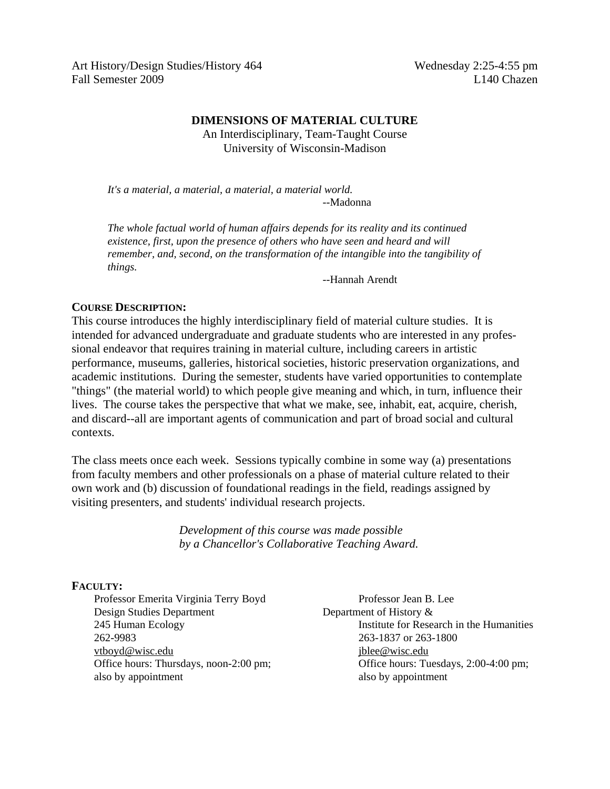Art History/Design Studies/History 464 Wednesday 2:25-4:55 pm Fall Semester 2009 L140 Chazen

### **DIMENSIONS OF MATERIAL CULTURE**

An Interdisciplinary, Team-Taught Course University of Wisconsin-Madison

*It's a material, a material, a material, a material world.* --Madonna

 *The whole factual world of human affairs depends for its reality and its continued existence, first, upon the presence of others who have seen and heard and will remember, and, second, on the transformation of the intangible into the tangibility of things.*

--Hannah Arendt

### **COURSE DESCRIPTION:**

This course introduces the highly interdisciplinary field of material culture studies. It is intended for advanced undergraduate and graduate students who are interested in any professional endeavor that requires training in material culture, including careers in artistic performance, museums, galleries, historical societies, historic preservation organizations, and academic institutions. During the semester, students have varied opportunities to contemplate "things" (the material world) to which people give meaning and which, in turn, influence their lives. The course takes the perspective that what we make, see, inhabit, eat, acquire, cherish, and discard--all are important agents of communication and part of broad social and cultural contexts.

The class meets once each week. Sessions typically combine in some way (a) presentations from faculty members and other professionals on a phase of material culture related to their own work and (b) discussion of foundational readings in the field, readings assigned by visiting presenters, and students' individual research projects.

> *Development of this course was made possible by a Chancellor's Collaborative Teaching Award.*

# **FACULTY:**

Professor Emerita Virginia Terry Boyd Professor Jean B. Lee Design Studies Department Department of History & 262-9983 263-1837 or 263-1800 [vtboyd@wisc.edu](mailto:vtboyd@wisc.edu) [jblee@wisc.edu](mailto:jblee@wisc.edu) also by appointment also by appointment

 245 Human Ecology Institute for Research in the Humanities Office hours: Thursdays, noon-2:00 pm; Office hours: Tuesdays, 2:00-4:00 pm;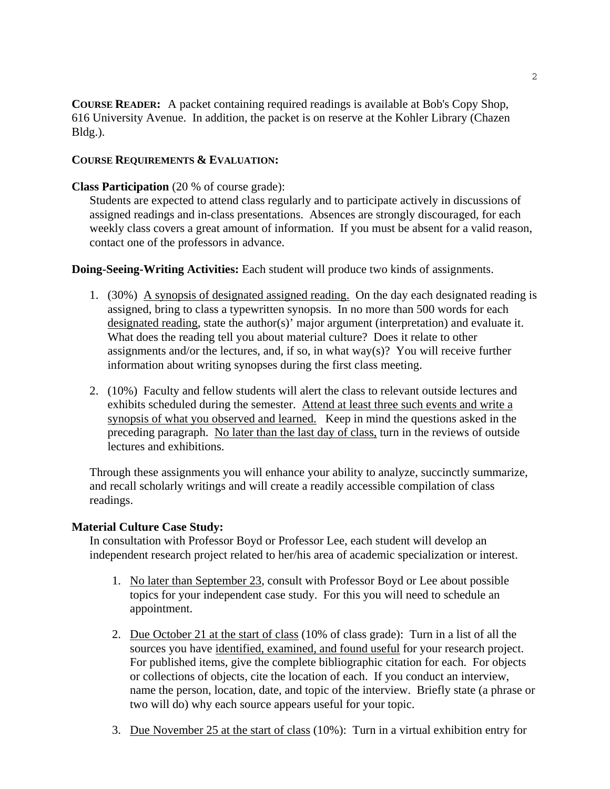**COURSE READER:** A packet containing required readings is available at Bob's Copy Shop, 616 University Avenue. In addition, the packet is on reserve at the Kohler Library (Chazen Bldg.).

# **COURSE REQUIREMENTS & EVALUATION:**

# **Class Participation** (20 % of course grade):

Students are expected to attend class regularly and to participate actively in discussions of assigned readings and in-class presentations. Absences are strongly discouraged, for each weekly class covers a great amount of information. If you must be absent for a valid reason, contact one of the professors in advance.

**Doing-Seeing-Writing Activities:** Each student will produce two kinds of assignments.

- 1. (30%) A synopsis of designated assigned reading. On the day each designated reading is assigned, bring to class a typewritten synopsis. In no more than 500 words for each designated reading, state the author(s)' major argument (interpretation) and evaluate it. What does the reading tell you about material culture? Does it relate to other assignments and/or the lectures, and, if so, in what way(s)? You will receive further information about writing synopses during the first class meeting.
- 2. (10%) Faculty and fellow students will alert the class to relevant outside lectures and exhibits scheduled during the semester. Attend at least three such events and write a synopsis of what you observed and learned. Keep in mind the questions asked in the preceding paragraph. No later than the last day of class, turn in the reviews of outside lectures and exhibitions.

Through these assignments you will enhance your ability to analyze, succinctly summarize, and recall scholarly writings and will create a readily accessible compilation of class readings.

# **Material Culture Case Study:**

In consultation with Professor Boyd or Professor Lee, each student will develop an independent research project related to her/his area of academic specialization or interest.

- 1. No later than September 23, consult with Professor Boyd or Lee about possible topics for your independent case study. For this you will need to schedule an appointment.
- 2. Due October 21 at the start of class (10% of class grade): Turn in a list of all the sources you have identified, examined, and found useful for your research project. For published items, give the complete bibliographic citation for each. For objects or collections of objects, cite the location of each. If you conduct an interview, name the person, location, date, and topic of the interview. Briefly state (a phrase or two will do) why each source appears useful for your topic.
- 3. Due November 25 at the start of class (10%): Turn in a virtual exhibition entry for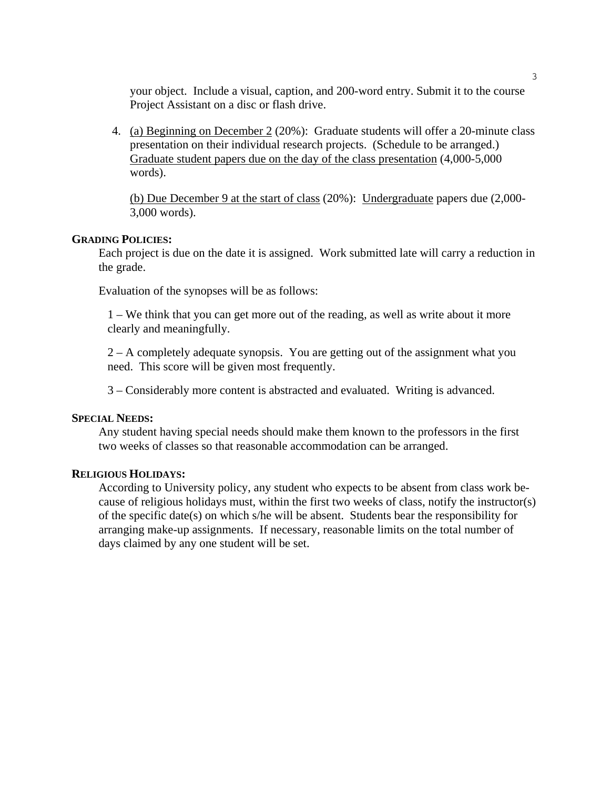your object. Include a visual, caption, and 200-word entry. Submit it to the course Project Assistant on a disc or flash drive.

4. (a) Beginning on December 2 (20%): Graduate students will offer a 20-minute class presentation on their individual research projects. (Schedule to be arranged.) Graduate student papers due on the day of the class presentation (4,000-5,000 words).

(b) Due December 9 at the start of class (20%): Undergraduate papers due (2,000- 3,000 words).

#### **GRADING POLICIES:**

Each project is due on the date it is assigned. Work submitted late will carry a reduction in the grade.

Evaluation of the synopses will be as follows:

 1 – We think that you can get more out of the reading, as well as write about it more clearly and meaningfully.

 2 – A completely adequate synopsis. You are getting out of the assignment what you need. This score will be given most frequently.

3 – Considerably more content is abstracted and evaluated. Writing is advanced.

#### **SPECIAL NEEDS:**

Any student having special needs should make them known to the professors in the first two weeks of classes so that reasonable accommodation can be arranged.

#### **RELIGIOUS HOLIDAYS:**

According to University policy, any student who expects to be absent from class work because of religious holidays must, within the first two weeks of class, notify the instructor(s) of the specific date(s) on which s/he will be absent. Students bear the responsibility for arranging make-up assignments. If necessary, reasonable limits on the total number of days claimed by any one student will be set.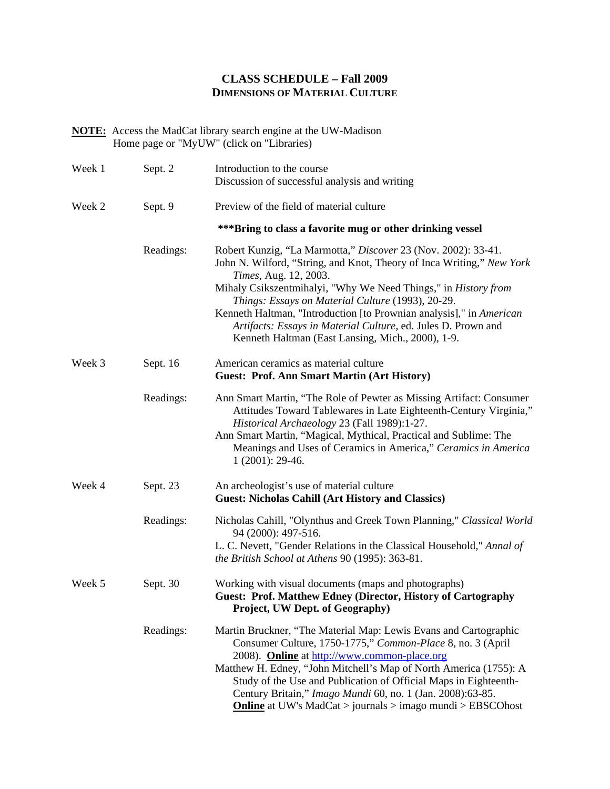# **CLASS SCHEDULE – Fall 2009 DIMENSIONS OF MATERIAL CULTURE**

**NOTE:** Access the MadCat library search engine at the UW-Madison Home page or "MyUW" (click on "Libraries)

| Week 1 | Sept. 2   | Introduction to the course<br>Discussion of successful analysis and writing                                                                                                                                                                                                                                                                                                                                                                                                         |
|--------|-----------|-------------------------------------------------------------------------------------------------------------------------------------------------------------------------------------------------------------------------------------------------------------------------------------------------------------------------------------------------------------------------------------------------------------------------------------------------------------------------------------|
| Week 2 | Sept. 9   | Preview of the field of material culture                                                                                                                                                                                                                                                                                                                                                                                                                                            |
|        |           | *** Bring to class a favorite mug or other drinking vessel                                                                                                                                                                                                                                                                                                                                                                                                                          |
|        | Readings: | Robert Kunzig, "La Marmotta," Discover 23 (Nov. 2002): 33-41.<br>John N. Wilford, "String, and Knot, Theory of Inca Writing," New York<br>Times, Aug. 12, 2003.<br>Mihaly Csikszentmihalyi, "Why We Need Things," in History from<br>Things: Essays on Material Culture (1993), 20-29.<br>Kenneth Haltman, "Introduction [to Prownian analysis]," in American<br>Artifacts: Essays in Material Culture, ed. Jules D. Prown and<br>Kenneth Haltman (East Lansing, Mich., 2000), 1-9. |
| Week 3 | Sept. 16  | American ceramics as material culture<br><b>Guest: Prof. Ann Smart Martin (Art History)</b>                                                                                                                                                                                                                                                                                                                                                                                         |
|        | Readings: | Ann Smart Martin, "The Role of Pewter as Missing Artifact: Consumer<br>Attitudes Toward Tablewares in Late Eighteenth-Century Virginia,"<br>Historical Archaeology 23 (Fall 1989):1-27.<br>Ann Smart Martin, "Magical, Mythical, Practical and Sublime: The<br>Meanings and Uses of Ceramics in America," Ceramics in America<br>$1(2001): 29-46.$                                                                                                                                  |
| Week 4 | Sept. 23  | An archeologist's use of material culture<br><b>Guest: Nicholas Cahill (Art History and Classics)</b>                                                                                                                                                                                                                                                                                                                                                                               |
|        | Readings: | Nicholas Cahill, "Olynthus and Greek Town Planning," Classical World<br>94 (2000): 497-516.<br>L. C. Nevett, "Gender Relations in the Classical Household," Annal of<br>the British School at Athens 90 (1995): 363-81.                                                                                                                                                                                                                                                             |
| Week 5 | Sept. 30  | Working with visual documents (maps and photographs)<br><b>Guest: Prof. Matthew Edney (Director, History of Cartography</b><br>Project, UW Dept. of Geography)                                                                                                                                                                                                                                                                                                                      |
|        | Readings: | Martin Bruckner, "The Material Map: Lewis Evans and Cartographic<br>Consumer Culture, 1750-1775," Common-Place 8, no. 3 (April<br>2008). Online at http://www.common-place.org<br>Matthew H. Edney, "John Mitchell's Map of North America (1755): A<br>Study of the Use and Publication of Official Maps in Eighteenth-<br>Century Britain," Imago Mundi 60, no. 1 (Jan. 2008):63-85.<br><b>Online</b> at UW's MadCat > journals > imago mundi > EBSCOhost                          |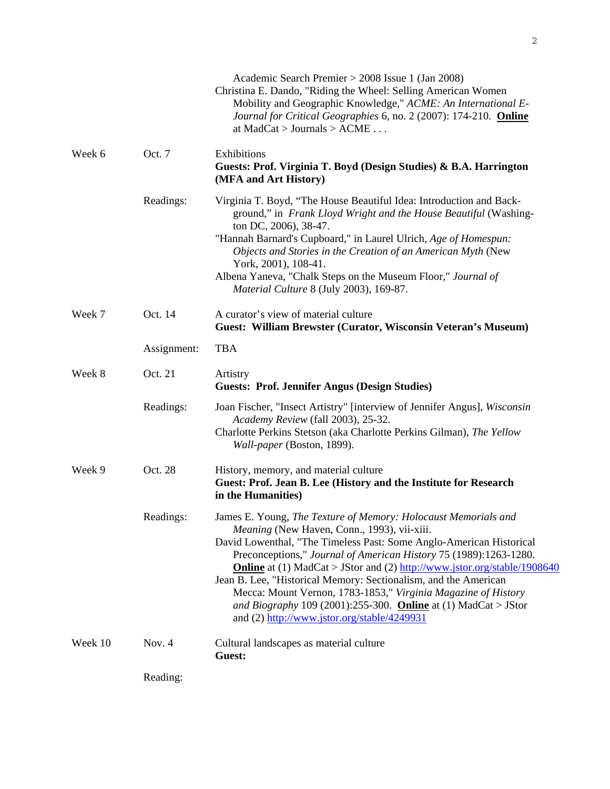|         |             | Academic Search Premier > 2008 Issue 1 (Jan 2008)<br>Christina E. Dando, "Riding the Wheel: Selling American Women<br>Mobility and Geographic Knowledge," ACME: An International E-<br>Journal for Critical Geographies 6, no. 2 (2007): 174-210. <b>Online</b><br>at $MadCat > Journals > ACME \dots$                                                                                                                                                                                                                                                                                     |
|---------|-------------|--------------------------------------------------------------------------------------------------------------------------------------------------------------------------------------------------------------------------------------------------------------------------------------------------------------------------------------------------------------------------------------------------------------------------------------------------------------------------------------------------------------------------------------------------------------------------------------------|
| Week 6  | Oct. 7      | Exhibitions<br>Guests: Prof. Virginia T. Boyd (Design Studies) & B.A. Harrington<br>(MFA and Art History)                                                                                                                                                                                                                                                                                                                                                                                                                                                                                  |
|         | Readings:   | Virginia T. Boyd, "The House Beautiful Idea: Introduction and Back-<br>ground," in Frank Lloyd Wright and the House Beautiful (Washing-<br>ton DC, 2006), 38-47.<br>"Hannah Barnard's Cupboard," in Laurel Ulrich, Age of Homespun:<br>Objects and Stories in the Creation of an American Myth (New<br>York, 2001), 108-41.<br>Albena Yaneva, "Chalk Steps on the Museum Floor," Journal of<br>Material Culture 8 (July 2003), 169-87.                                                                                                                                                     |
| Week 7  | Oct. 14     | A curator's view of material culture<br>Guest: William Brewster (Curator, Wisconsin Veteran's Museum)                                                                                                                                                                                                                                                                                                                                                                                                                                                                                      |
|         | Assignment: | <b>TBA</b>                                                                                                                                                                                                                                                                                                                                                                                                                                                                                                                                                                                 |
| Week 8  | Oct. 21     | Artistry<br><b>Guests: Prof. Jennifer Angus (Design Studies)</b>                                                                                                                                                                                                                                                                                                                                                                                                                                                                                                                           |
|         | Readings:   | Joan Fischer, "Insect Artistry" [interview of Jennifer Angus], Wisconsin<br>Academy Review (fall 2003), 25-32.<br>Charlotte Perkins Stetson (aka Charlotte Perkins Gilman), The Yellow<br>Wall-paper (Boston, 1899).                                                                                                                                                                                                                                                                                                                                                                       |
| Week 9  | Oct. 28     | History, memory, and material culture<br>Guest: Prof. Jean B. Lee (History and the Institute for Research<br>in the Humanities)                                                                                                                                                                                                                                                                                                                                                                                                                                                            |
|         | Readings:   | James E. Young, The Texture of Memory: Holocaust Memorials and<br>Meaning (New Haven, Conn., 1993), vii-xiii.<br>David Lowenthal, "The Timeless Past: Some Anglo-American Historical<br>Preconceptions," Journal of American History 75 (1989):1263-1280.<br>Online at (1) MadCat > JStor and (2) http://www.jstor.org/stable/1908640<br>Jean B. Lee, "Historical Memory: Sectionalism, and the American<br>Mecca: Mount Vernon, 1783-1853," Virginia Magazine of History<br>and Biography 109 (2001):255-300. Online at (1) MadCat > JStor<br>and (2) http://www.jstor.org/stable/4249931 |
| Week 10 | Nov. 4      | Cultural landscapes as material culture<br>Guest:                                                                                                                                                                                                                                                                                                                                                                                                                                                                                                                                          |
|         | Reading:    |                                                                                                                                                                                                                                                                                                                                                                                                                                                                                                                                                                                            |

2